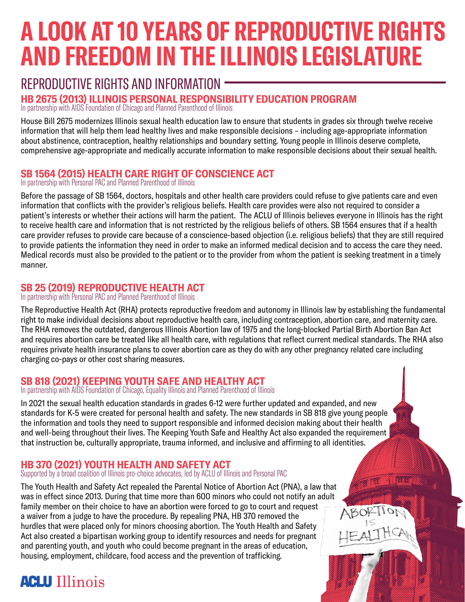# **A LOOK AT 10 YEARS OF REPRODUCTIVE RIGHTS AND FREEDOM IN THE ILLINOIS LEGISLATURE**

## REPRODUCTIVE RIGHTS AND INFORMATION

### **HB 2675 (2013) ILLINOIS PERSONAL RESPONSIBILITY EDUCATION PROGRAM**

In partnership with AIDS Foundation of Chicago and Planned Parenthood of Illinois

House Bill 2675 modernizes Illinois sexual health education law to ensure that students in grades six through twelve receive information that will help them lead healthy lives and make responsible decisions – including age-appropriate information about abstinence, contraception, healthy relationships and boundary setting. Young people in Illinois deserve complete, comprehensive age-appropriate and medically accurate information to make responsible decisions about their sexual health.

### **SB 1564 (2015) HEALTH CARE RIGHT OF CONSCIENCE ACT**

In partnership with Personal PAC and Planned Parenthood of Illinois

Before the passage of SB 1564, doctors, hospitals and other health care providers could refuse to give patients care and even information that conflicts with the provider's religious beliefs. Health care provides were also not required to consider a patient's interests or whether their actions will harm the patient. The ACLU of Illinois believes everyone in Illinois has the right to receive health care and information that is not restricted by the religious beliefs of others. SB 1564 ensures that if a health care provider refuses to provide care because of a conscience-based objection (i.e. religious beliefs) that they are still required to provide patients the information they need in order to make an informed medical decision and to access the care they need. Medical records must also be provided to the patient or to the provider from whom the patient is seeking treatment in a timely manner.

### **SB 25 (2019) REPRODUCTIVE HEALTH ACT**

In partnership with Personal PAC and Planned Parenthood of Illinois

The Reproductive Health Act (RHA) protects reproductive freedom and autonomy in Illinois law by establishing the fundamental right to make individual decisions about reproductive health care, including contraception, abortion care, and maternity care. The RHA removes the outdated, dangerous Illinois Abortion law of 1975 and the long-blocked Partial Birth Abortion Ban Act and requires abortion care be treated like all health care, with regulations that reflect current medical standards. The RHA also requires private health insurance plans to cover abortion care as they do with any other pregnancy related care including charging co-pays or other cost sharing measures.

### **SB 818 (2021) KEEPING YOUTH SAFE AND HEALTHY ACT**

In partnership with AIDS Foundation of Chicago, Equality Illinois and Planned Parenthood of Illinois

In 2021 the sexual health education standards in grades 6-12 were further updated and expanded, and new standards for K-5 were created for personal health and safety. The new standards in SB 818 give young people the information and tools they need to support responsible and informed decision making about their health and well-being throughout their lives. The Keeping Youth Safe and Healthy Act also expanded the requirement that instruction be, culturally appropriate, trauma informed, and inclusive and affirming to all identities.

### **HB 370 (2021) YOUTH HEALTH AND SAFETY ACT**

Supported by a broad coalition of Illinois pro-choice advocates, led by ACLU of Illinois and Personal PAC

The Youth Health and Safety Act repealed the Parental Notice of Abortion Act (PNA), a law that was in effect since 2013. During that time more than 600 minors who could not notify an adult family member on their choice to have an abortion were forced to go to court and request a waiver from a judge to have the procedure. By repealing PNA, HB 370 removed the hurdles that were placed only for minors choosing abortion. The Youth Health and Safety Act also created a bipartisan working group to identify resources and needs for pregnant and parenting youth, and youth who could become pregnant in the areas of education, housing, employment, childcare, food access and the prevention of trafficking.

# **ACLU Illinois**